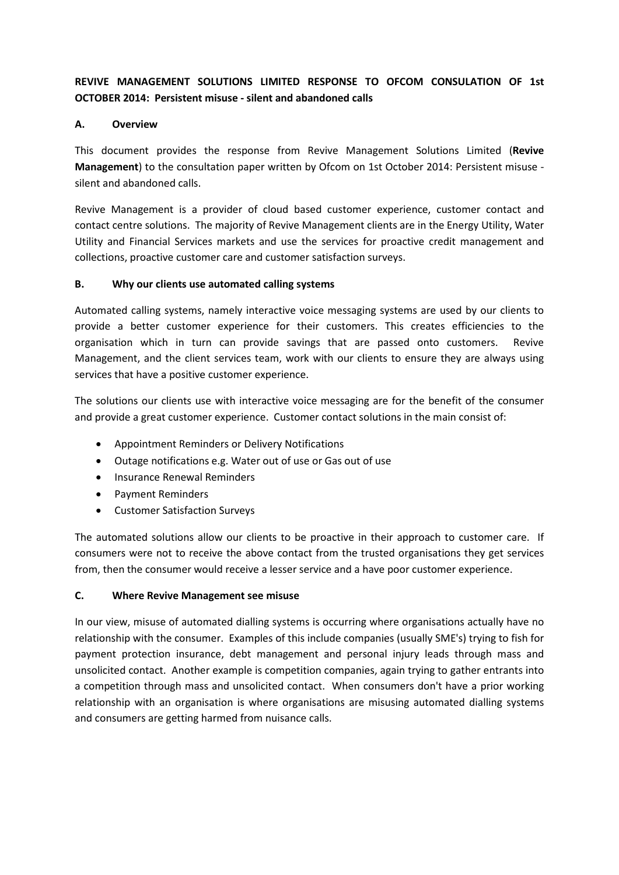# **REVIVE MANAGEMENT SOLUTIONS LIMITED RESPONSE TO OFCOM CONSULATION OF 1st OCTOBER 2014: Persistent misuse - silent and abandoned calls**

# **A. Overview**

This document provides the response from Revive Management Solutions Limited (**Revive Management**) to the consultation paper written by Ofcom on 1st October 2014: Persistent misuse silent and abandoned calls.

Revive Management is a provider of cloud based customer experience, customer contact and contact centre solutions. The majority of Revive Management clients are in the Energy Utility, Water Utility and Financial Services markets and use the services for proactive credit management and collections, proactive customer care and customer satisfaction surveys.

# **B. Why our clients use automated calling systems**

Automated calling systems, namely interactive voice messaging systems are used by our clients to provide a better customer experience for their customers. This creates efficiencies to the organisation which in turn can provide savings that are passed onto customers. Revive Management, and the client services team, work with our clients to ensure they are always using services that have a positive customer experience.

The solutions our clients use with interactive voice messaging are for the benefit of the consumer and provide a great customer experience. Customer contact solutions in the main consist of:

- Appointment Reminders or Delivery Notifications
- Outage notifications e.g. Water out of use or Gas out of use
- Insurance Renewal Reminders
- Payment Reminders
- Customer Satisfaction Surveys

The automated solutions allow our clients to be proactive in their approach to customer care. If consumers were not to receive the above contact from the trusted organisations they get services from, then the consumer would receive a lesser service and a have poor customer experience.

# **C. Where Revive Management see misuse**

In our view, misuse of automated dialling systems is occurring where organisations actually have no relationship with the consumer. Examples of this include companies (usually SME's) trying to fish for payment protection insurance, debt management and personal injury leads through mass and unsolicited contact. Another example is competition companies, again trying to gather entrants into a competition through mass and unsolicited contact. When consumers don't have a prior working relationship with an organisation is where organisations are misusing automated dialling systems and consumers are getting harmed from nuisance calls.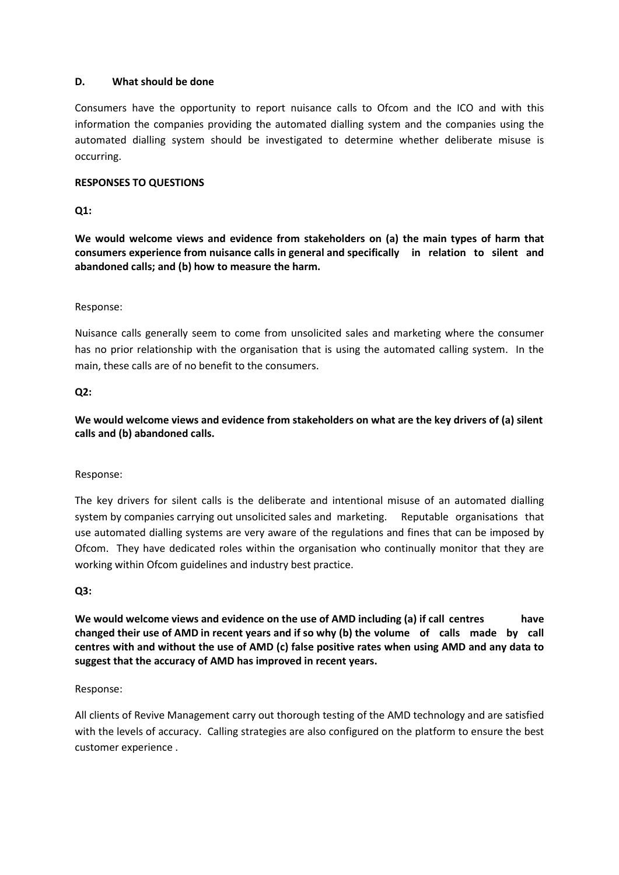# **D. What should be done**

Consumers have the opportunity to report nuisance calls to Ofcom and the ICO and with this information the companies providing the automated dialling system and the companies using the automated dialling system should be investigated to determine whether deliberate misuse is occurring.

## **RESPONSES TO QUESTIONS**

# **Q1:**

**We would welcome views and evidence from stakeholders on (a) the main types of harm that consumers experience from nuisance calls in general and specifically in relation to silent and abandoned calls; and (b) how to measure the harm.** 

#### Response:

Nuisance calls generally seem to come from unsolicited sales and marketing where the consumer has no prior relationship with the organisation that is using the automated calling system. In the main, these calls are of no benefit to the consumers.

#### **Q2:**

**We would welcome views and evidence from stakeholders on what are the key drivers of (a) silent calls and (b) abandoned calls.** 

#### Response:

The key drivers for silent calls is the deliberate and intentional misuse of an automated dialling system by companies carrying out unsolicited sales and marketing. Reputable organisations that use automated dialling systems are very aware of the regulations and fines that can be imposed by Ofcom. They have dedicated roles within the organisation who continually monitor that they are working within Ofcom guidelines and industry best practice.

#### **Q3:**

**We would welcome views and evidence on the use of AMD including (a) if call centres have changed their use of AMD in recent years and if so why (b) the volume of calls made by call centres with and without the use of AMD (c) false positive rates when using AMD and any data to suggest that the accuracy of AMD has improved in recent years.** 

#### Response:

All clients of Revive Management carry out thorough testing of the AMD technology and are satisfied with the levels of accuracy. Calling strategies are also configured on the platform to ensure the best customer experience .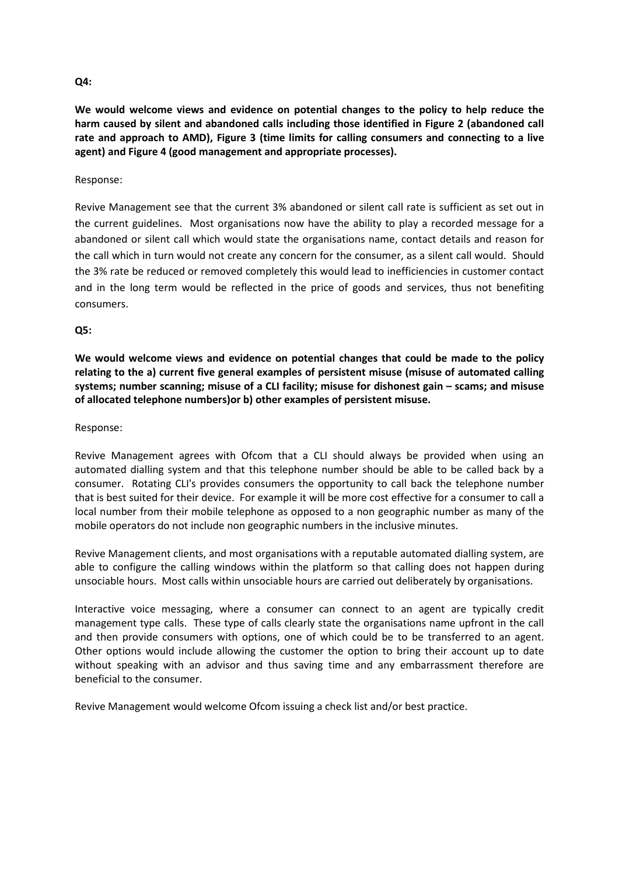#### **Q4:**

**We would welcome views and evidence on potential changes to the policy to help reduce the harm caused by silent and abandoned calls including those identified in Figure 2 (abandoned call rate and approach to AMD), Figure 3 (time limits for calling consumers and connecting to a live agent) and Figure 4 (good management and appropriate processes).**

#### Response:

Revive Management see that the current 3% abandoned or silent call rate is sufficient as set out in the current guidelines. Most organisations now have the ability to play a recorded message for a abandoned or silent call which would state the organisations name, contact details and reason for the call which in turn would not create any concern for the consumer, as a silent call would. Should the 3% rate be reduced or removed completely this would lead to inefficiencies in customer contact and in the long term would be reflected in the price of goods and services, thus not benefiting consumers.

#### **Q5:**

**We would welcome views and evidence on potential changes that could be made to the policy relating to the a) current five general examples of persistent misuse (misuse of automated calling systems; number scanning; misuse of a CLI facility; misuse for dishonest gain – scams; and misuse of allocated telephone numbers)or b) other examples of persistent misuse.** 

#### Response:

Revive Management agrees with Ofcom that a CLI should always be provided when using an automated dialling system and that this telephone number should be able to be called back by a consumer. Rotating CLI's provides consumers the opportunity to call back the telephone number that is best suited for their device. For example it will be more cost effective for a consumer to call a local number from their mobile telephone as opposed to a non geographic number as many of the mobile operators do not include non geographic numbers in the inclusive minutes.

Revive Management clients, and most organisations with a reputable automated dialling system, are able to configure the calling windows within the platform so that calling does not happen during unsociable hours. Most calls within unsociable hours are carried out deliberately by organisations.

Interactive voice messaging, where a consumer can connect to an agent are typically credit management type calls. These type of calls clearly state the organisations name upfront in the call and then provide consumers with options, one of which could be to be transferred to an agent. Other options would include allowing the customer the option to bring their account up to date without speaking with an advisor and thus saving time and any embarrassment therefore are beneficial to the consumer.

Revive Management would welcome Ofcom issuing a check list and/or best practice.